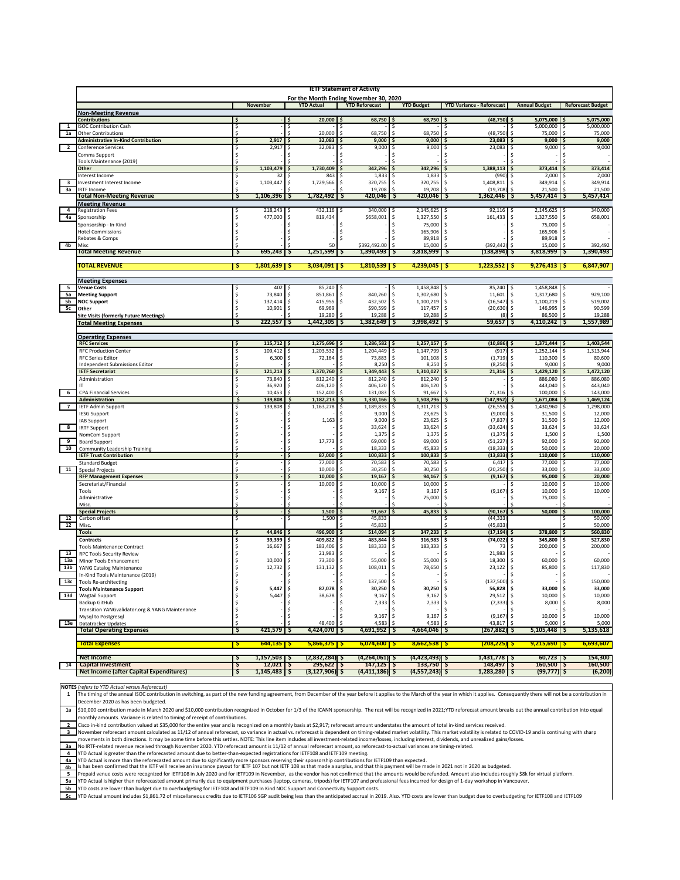|                         | <b>IETF Statement of Activity</b>                                              |     |                                        |                             |                             |                                    |                                   |                              |                               |
|-------------------------|--------------------------------------------------------------------------------|-----|----------------------------------------|-----------------------------|-----------------------------|------------------------------------|-----------------------------------|------------------------------|-------------------------------|
|                         |                                                                                |     | For the Month Ending November 30, 2020 |                             |                             |                                    |                                   |                              |                               |
|                         |                                                                                |     | November                               | <b>TD Actual</b>            | <b>YTD Reforecast</b>       | <b>YTD Budget</b>                  | <b>YTD Variance - Reforecast</b>  | <b>Annual Budget</b>         | <b>Reforecast Budget</b>      |
|                         | <b>Non-Meeting Revenue</b>                                                     |     |                                        |                             |                             |                                    |                                   |                              |                               |
| $\mathbf{1}$            | <b>Contributions</b>                                                           |     |                                        | 20,000                      | 68,750                      | 68,750                             | (48, 750)                         | 5,075,000                    | 5,075,000                     |
| 1a                      | <b>ISOC Contribution Cash</b><br><b>Other Contributions</b>                    | \$  |                                        | 20,000                      | 68,750                      | <sup>\$</sup><br>68,750            | <sup>\$</sup><br>(48, 750)        | 5,000,000<br>75,000          | 5,000,000<br>s<br>75,000      |
|                         | <b>Administrative In-Kind Contribution</b>                                     | Ŝ   | 2,917                                  | 32,083                      | 9,000                       | 9,000                              | 23,083                            | 9,000                        | 9,000                         |
| $\overline{\mathbf{2}}$ | <b>Conference Services</b>                                                     |     | 2,917                                  | 32,083                      | 9,000                       | 9,000                              | 23,083                            | 9,000                        | 9,000                         |
|                         | Comms Support                                                                  |     |                                        |                             |                             |                                    |                                   |                              |                               |
|                         | Tools Maintenance (2019)                                                       |     |                                        |                             |                             |                                    |                                   |                              |                               |
|                         | Other                                                                          | \$  | 1,103,479                              | 1,730,409                   | 342,296                     | 342,296                            | 1,388,113                         | 373,414                      | 373,414                       |
|                         | Interest Income                                                                |     |                                        | 843                         | 1,833                       | 1,833                              | (990                              | 2,000                        | 2,000                         |
| 3                       | Investment Interest Income                                                     |     | 1,103,447                              | 1,729,566                   | 320,755<br>19,708           | 320,755<br>19,708                  | 1,408,811                         | 349,914<br>21,500            | 349,914<br>21,500             |
| За                      | <b>IRTF Income</b><br><b>Total Non-Meeting Revenue</b>                         | Ş   | 1,106,396                              | 1,782,492<br>Ş              | 420,046 \$<br>-S            | $420,046$ \$                       | (19,708)<br>1,362,446             | $5,457,414$ $\sqrt{5}$<br>Ş  | 5,457,414                     |
|                         | <b>Meeting Revenue</b>                                                         |     |                                        |                             |                             |                                    |                                   |                              |                               |
| $\overline{\mathbf{4}}$ | <b>Registration Fees</b>                                                       |     | 218,243                                | 432,116                     | 340,000<br>\$               | 2,145,625                          | 92,116                            | 2,145,625                    | 340,000                       |
| 4a                      | Sponsorship                                                                    |     | 477,000                                | Ŝ<br>819,434                | \$658,001                   | \$<br>1,327,550                    | Ŝ<br>161,433                      | \$<br>1,327,550              | \$<br>658,001                 |
|                         | Sponsorship - In-Kind                                                          |     |                                        |                             | Ŝ                           | Ŝ<br>75,000                        | <sup>\$</sup>                     | 75,000                       | <sup>\$</sup>                 |
|                         | <b>Hotel Commissions</b>                                                       |     |                                        | s                           | \$                          | 165,906<br>\$                      | -Ŝ                                | 165,906<br>Ŝ                 | <sup>\$</sup>                 |
|                         | Rebates & Comps                                                                |     |                                        |                             |                             | 89,918                             | Ŝ                                 | 89,918                       | <sup>\$</sup>                 |
| 4 <sub>b</sub>          | Miso                                                                           | -5  | 695,243                                |                             | \$392,492.00                | 15,000                             | (392, 442)                        | 15,000                       | 392,492                       |
|                         | <b>Total Meeting Revenue</b>                                                   |     |                                        | 1,251,599<br><b>Ş</b>       | $1,390,493$   \$            | 3,818,999                          | (138,894) \$                      | 3,818,999                    | 1,390,493                     |
|                         | TOTAL REVENUE                                                                  | ाइ  | $1,801,639$ \$                         | $3,034,091$ \$              | $1,810,539$ $\sqrt{5}$      | $4,239,045$ \$                     | $1,223,552$ \$                    | $9,276,413$ \$               | 6,847,907                     |
|                         |                                                                                |     |                                        |                             |                             |                                    |                                   |                              |                               |
|                         | <b>Meeting Expenses</b>                                                        |     |                                        |                             |                             |                                    |                                   |                              |                               |
| 5                       | <b>Venue Costs</b>                                                             |     | 402                                    | 85,240                      |                             | 1,458,848                          | 85,240                            | 1,458,848                    |                               |
| 5a                      | <b>Meeting Support</b>                                                         | Ŝ   | 73,840                                 | 851,861<br>Ŝ.               | 840,260<br>\$               | 1,302,680<br>\$                    | -\$<br>11,601                     | 1,317,680<br>Ŝ               | 929,100<br>Ŝ                  |
| 5b                      | <b>NOC Support</b>                                                             | s   | 137,414                                | 415,955<br>Ŝ.               | 432,502<br>Ŝ.               | 1,100,219<br>\$                    | (16, 547)<br>$\mathsf{s}$         | 1,100,219<br>Ŝ               | 519,002<br>$\mathsf{\hat{S}}$ |
| 5с                      | Other                                                                          | Ś   | 10,901                                 | 69,969<br>Ŝ.                | \$90,599                    | \$<br>117,457                      | -\$<br>(20, 630)                  | 146,995<br>\$                | 90,599<br>$\mathsf{\hat{S}}$  |
|                         | <b>Site Visits (formerly Future Meetings)</b><br><b>Total Meeting Expenses</b> | 5   | 222,557                                | 19,280<br>1,442,305<br>-5   | 19,288<br>1,382,649   Ş     | 19,288<br>3,998,492                | 59,657<br>۱Ş                      | 86,500<br>4,110,242<br>۱Ş    | 19,288<br>1,557,989           |
|                         |                                                                                |     |                                        |                             |                             |                                    |                                   |                              |                               |
|                         | <b>Operating Expenses</b>                                                      |     |                                        |                             |                             |                                    |                                   |                              |                               |
|                         | <b>RFC Services</b>                                                            | Ŝ   | 115,712                                | 1,275,696                   | 1,286,582                   | 1,257,157<br>۱S                    | (10, 886)                         | 1,371,444<br>S               | 1,403,544                     |
|                         | <b>RFC Production Center</b>                                                   | \$  | 109,412                                | 1,203,532                   | 1,204,449<br>Ŝ              | 1,147,799<br>Ŝ                     | (917)<br>Ŝ                        | 1,252,144                    | 1,313,944                     |
|                         | <b>RFC Series Editor</b>                                                       |     | 6,300                                  | Ŝ<br>72,164                 | 73,883<br>Ŝ                 | \$<br>101,108                      | (1, 719)<br>Ŝ                     | 110,300                      | 80,600<br><sup>\$</sup>       |
|                         | Independent Submissions Editor                                                 |     |                                        |                             | 8,250                       | \$<br>8,250                        | (8, 250)<br><sup>\$</sup>         | 9,000                        | 9,000                         |
|                         | <b>IETF Secretariat</b>                                                        | Ŝ   | 121,213                                | 1,370,760<br>Ŝ              | 1,349,443<br>Ŝ              | 1,310,027<br>.\$                   | 21,316<br>¢                       | 1,429,120<br>Ŝ               | 1,472,120                     |
|                         | Administration                                                                 |     | 73,840<br>36,920                       | 812,240<br>406,120          | 812,240<br>406,120          | 812,240<br>406,120                 |                                   | 886,080<br>443,040           | 886,080<br>443,040            |
| <b>6</b>                | <b>CPA Financial Services</b>                                                  |     | 10,453                                 | 152,400                     | 131,083                     | 91,667                             | 21,316                            | 100,000                      | 143,000                       |
|                         | <b>Administration</b>                                                          | Ś   | 139,808                                | \$<br>1,182,213             | \$<br>1,330,166             | \$<br>1,508,796                    | (147, 952)<br>.s                  | 1,671,084<br>Ś               | 1,469,124<br>\$               |
| $\overline{7}$          | <b>IETF Admin Support</b>                                                      |     | 139,808                                | 1,163,278<br>Ŝ              | 1,189,833<br>Ŝ              | 1,311,713<br>-S                    | (26, 555)<br>-S                   | 1,430,960<br>s               | 1,298,000<br>Ŝ                |
|                         | <b>IESG Support</b>                                                            |     |                                        |                             | 9,000                       | 23,625<br>\$                       | (9,000)<br>-Ŝ                     | 31,500<br>\$                 | 12,000<br>Ŝ                   |
|                         | <b>IAB Support</b>                                                             |     |                                        | 1,163                       | 9,000<br>Ŝ                  | 23,625<br>\$                       | (7, 837)<br>-Ŝ                    | 31,500<br>\$                 | 12,000<br>Ŝ                   |
| $\overline{\mathbf{8}}$ | <b>IRTF Support</b>                                                            |     |                                        |                             | 33,624                      | 33,624<br>-Ś                       | (33, 624)<br>-Ś                   | 33,624<br>Ŝ                  | 33,624<br>Ŝ                   |
|                         | NomCom Support                                                                 |     |                                        |                             | 1,375                       | <b>S</b><br>1,375                  | Ŝ.<br>(1, 375)                    | 1,500<br>Ŝ<br>Ŝ              | 1,500<br>Ŝ<br><sup>\$</sup>   |
| 9<br>10                 | <b>Board Support</b>                                                           |     |                                        | 17,773                      | 69,000<br>Ŝ.<br>18,333      | 69,000<br>\$<br>45,833             | (51, 227)<br>Ŝ.<br>(18, 333)<br>- | 92,000<br>50,000             | 92,000<br>20,000              |
|                         | <b>Community Leadership Training</b><br><b>IETF Trust Contribution</b>         | Ŝ   |                                        | 87,000                      | 100,833                     | 100,833                            | (13, 833)                         | 110,000                      | 110,000                       |
|                         | <b>Standard Budget</b>                                                         |     |                                        | 77,000                      | 70,583                      | 70,583                             | 6,417                             | 77,000                       | 77,000                        |
| 11                      | <b>Special Projects</b>                                                        |     |                                        | 10,000                      | 30,250                      | 30,250                             | (20, 250)                         | 33,000                       | 33,000                        |
|                         | <b>RFP Management Expenses</b>                                                 | \$. |                                        | 10,000<br>Ŝ                 | 19,167<br>S                 | 94,167<br>\$.                      | (9, 167)<br>Ŝ                     | 95,000<br>s                  | 20,000                        |
|                         | Secretariat/Financial                                                          |     |                                        | 10,000                      | 10,000                      | 10,000                             | Ŝ                                 | 10,000                       | 10,000                        |
|                         | Tools                                                                          |     |                                        |                             | 9,167                       | Ŝ<br>9,167                         | Ŝ<br>(9, 167)                     | 10,000<br>Ŝ                  | 10,000                        |
|                         | Administrative<br>Misc.                                                        |     |                                        |                             |                             | 75,000                             | <sup>\$</sup>                     | 75,000                       |                               |
|                         | <b>Special Projects</b>                                                        | \$  |                                        | 1,500<br>Ŝ                  | 91,667                      | 45,833                             | (90, 167)<br>Ś                    | 50,000                       | 100,000                       |
| 12                      | Carbon offset                                                                  | \$  |                                        | 1,500<br>Ŝ                  | 45,833<br>s                 |                                    | (44, 333)<br>S                    |                              | 50,000                        |
| 12                      | Misc.                                                                          |     |                                        |                             | 45,833                      |                                    | (45, 833)                         |                              | 50,000                        |
|                         | <b>Tools</b>                                                                   |     | 44,846                                 | 496,900                     | 514,094                     | 347,233                            | (17, 194)<br>Ś                    | 378,800                      | 560,830                       |
|                         | Contracts                                                                      |     | 39,399                                 | 409,822<br>s                | 483,844<br>\$               | 316,983<br>\$                      | (74, 022)<br>.s                   | 345,800<br>\$                | 527,830                       |
|                         | <b>Tools Maintenance Contract</b>                                              |     | 16,667                                 | 183,406<br>\$               | 183,333<br>\$               | 183,333<br>\$                      | -\$<br>73                         | 200,000<br>s                 | 200,000<br>\$                 |
| 13                      | <b>RPC Tools Security Review</b>                                               |     |                                        | 21,983<br>s                 | \$                          | -S                                 | 21,983<br>-\$                     | \$                           |                               |
| 13a<br>13 <sub>b</sub>  | Minor Tools Enhancement                                                        |     | 10,000<br>12,732                       | 73,300<br>Ŝ<br>131,132<br>Ŝ | Ŝ<br>55,000<br>108,011<br>Ŝ | \$<br>55,000<br>\$<br>78,650       | ŝ<br>18,300<br>23,122<br>-Ŝ       | 60,000<br>\$<br>85,800<br>\$ | 60,000<br>Ŝ<br>117,830<br>Ŝ   |
|                         | YANG Catalog Maintenance<br>In-Kind Tools Maintenance (2019)                   |     |                                        | Ŝ                           | Ŝ                           | Ŝ                                  | Ŝ                                 | s                            |                               |
| 13c                     | <b>Tools Re-architecting</b>                                                   |     |                                        |                             | 137,500                     |                                    |                                   |                              | 150,000                       |
|                         | <b>Tools Maintenance Support</b>                                               | \$  | 5,447                                  | 87,078<br>l \$              | $30,250$ \$<br>\$ ا         | 30,250 \$                          | 56,828 \$                         | 33,000 \$                    | 33,000                        |
| 13d                     | <b>Wagtail Support</b>                                                         | \$  | 5,447                                  | \$<br>38,678                | \$<br>9,167                 | \$<br>9,167                        | \$<br>29,512                      | 10,000<br>\$                 | \$<br>10,000                  |
|                         | Backup GitHub                                                                  | Ŝ   |                                        | \$                          | 7,333<br>\$                 | $\boldsymbol{\mathsf{S}}$<br>7,333 | $\mathsf{S}$<br>(7, 333)          | 8,000<br>\$                  | 8,000<br>\$                   |
|                         | Transition YANGvalidator.org & YANG Maintenance                                | \$  |                                        | \$                          | \$                          | Ŝ                                  | \$                                |                              |                               |
|                         | Mysql to Postgresql                                                            | \$  |                                        | \$                          | \$<br>9,167                 | l\$<br>9,167                       | \$<br>(9, 167)                    | 10,000<br>\$                 | 10,000<br>I\$                 |
| 13e                     | Datatracker Updates<br><b>Total Operating Expenses</b>                         | Ş   | 421,579                                | 48,400<br>4,424,070<br>5    | 4,583<br>4,691,952 \$<br>ιs | 4,583<br>Ŝ.<br>4,664,046 \$        | 43,817<br>(267,882) \$            | 5,000<br>$5,105,448$ \$      | 5,000<br>5,135,618            |
|                         |                                                                                |     |                                        |                             |                             |                                    |                                   |                              |                               |
|                         | <b>Total Expenses</b>                                                          | -S  | $644,135$ $5$                          | $5,866,375$ $\sqrt{5}$      | $6,074,600$ $\sqrt{5}$      | $8,662,538$ \$                     | $(208, 225)$ \$                   | $9,215,690$ $\sqrt{5}$       | 6,693,607                     |
|                         |                                                                                |     |                                        |                             |                             |                                    |                                   |                              |                               |
|                         | <b>Net Income</b>                                                              | Ş   | $1,157,503$ \$                         | (2,832,284) \$              | (4,264,061) Ş               | (4,423,493) \$                     | 1,431,778 \$                      | $60,723$ $\frac{5}{5}$       | 154,300                       |
| 14                      | <b>Capital Investment</b>                                                      | Ş   | $12,021$   \$                          | $295,622$   \$              | $147,125$ $5$               | $133,750$ \$                       | 148,497   \$                      | 160,500 \$                   | 160,500                       |
|                         | <b>Net Income (after Capital Expenditures)</b>                                 | Ş   | 1,145,483 \$                           | $(3, 127, 906)$ \$          | $(4, 411, 186)$ \$          | $(4,557,243)$ \$                   | 1,283,280 \$                      | $(99, 777)$ \$               | (6, 200)                      |

**NOTES** (refers to YTD Actual versus Reforecast)  $\mathbf 1$ 

The timing of the annual ISOC contribution in switching, as part of the new funding agreement, from December of the year before it applies to the March of the year in which it applies. Consequently there will not be a cont

\$10,000 contribution made in March 2020 and \$10,000 contribution recognized in October for 1/3 of the ICANN sponsorship. The rest will be recognized in 2021;YTD reforecast amount breaks out the annual contribution into equ  $1a$ .<br>monthly amounts. Variance is related to timing of receipt of contributions.<br>Isco in-kind contribution valued at \$35,000 for the entire year and is recognized on a monthly basis at \$2,917; reforecast amount understates th

 $\overline{2}$ 

 $\overline{\mathbf{a}}$ November reforecast amount calculated as 11/12 of annual reforecast, so variance in actually serforecast is dependent on timing-related market volatlifty. This market volatlifty is related to COVID-19 and is continuing wit

movements in both directions. It may be some unio using the setus, world: inside the minicial state and investment and information inside the matter setus in the matter setus in the RIF related responses to actual variance  $3a$ 

 $\overline{4}$ 

 $4a$ 

Prepaid venue costs were recognized for IETF108 in July 2020 and for IETF109 in November, as the vendor has not confirmed that the amounts would be refunded. Amount also includes roughly \$8k for virtual platform.

 $rac{4b}{5}$ <br> $rac{5}{5a}$ YTD Actual is higher than reforecasted amount primarily due to equipment purchases (laptop, cameras, tripods) for IETF107 and professional fees incurred for design of 1-day workshop in Vancouver.

 $-5b$ YTD costs are lower than budget due to overbudgeting for IETF108 and IETF109 In Kind NOC Support and Connectivity Support costs.

50 YTD Actual amount includes \$1,861.72 of miscellaneous credits due to IETF106 SGP audit being less than the anticipated accrual in 2019. Also. YTD costs are lower than budget due to overbudgeting for IETF108 and IETF109